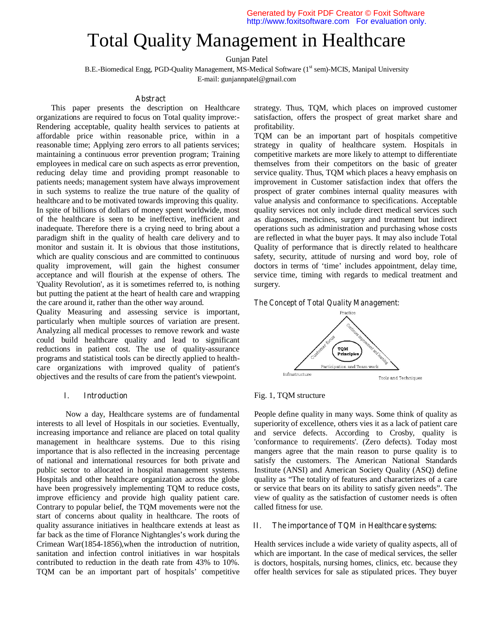# Total Quality Management in Healthcare

Gunjan Patel

B.E.-Biomedical Engg, PGD-Quality Management, MS-Medical Software (1st sem)-MCIS, Manipal University E-mail: gunjannpatel@gmail.com

#### **Abstract**

This paper presents the description on Healthcare organizations are required to focus on Total quality improve:- Rendering acceptable, quality health services to patients at affordable price within reasonable price, within in a reasonable time; Applying zero errors to all patients services; maintaining a continuous error prevention program; Training employees in medical care on such aspects as error prevention, reducing delay time and providing prompt reasonable to patients needs; management system have always improvement in such systems to realize the true nature of the quality of healthcare and to be motivated towards improving this quality. In spite of billions of dollars of money spent worldwide, most of the healthcare is seen to be ineffective, inefficient and inadequate. Therefore there is a crying need to bring about a paradigm shift in the quality of health care delivery and to monitor and sustain it. It is obvious that those institutions, which are quality conscious and are committed to continuous quality improvement, will gain the highest consumer acceptance and will flourish at the expense of others. The 'Quality Revolution', as it is sometimes referred to, is nothing but putting the patient at the heart of health care and wrapping the care around it, rather than the other way around.

Quality Measuring and assessing service is important, particularly when multiple sources of variation are present. Analyzing all medical processes to remove rework and waste could build healthcare quality and lead to significant reductions in patient cost. The use of quality-assurance programs and statistical tools can be directly applied to healthcare organizations with improved quality of patient's objectives and the results of care from the patient's viewpoint.

## **I. Introduction**

Now a day, Healthcare systems are of fundamental interests to all level of Hospitals in our societies. Eventually, increasing importance and reliance are placed on total quality management in healthcare systems. Due to this rising importance that is also reflected in the increasing percentage of national and international resources for both private and public sector to allocated in hospital management systems. Hospitals and other healthcare organization across the globe have been progressively implementing TQM to reduce costs, improve efficiency and provide high quality patient care. Contrary to popular belief, the TQM movements were not the start of concerns about quality in healthcare. The roots of quality assurance initiatives in healthcare extends at least as far back as the time of Florance Nightangles's work during the Crimean War(1854-1856),when the introduction of nutrition, sanitation and infection control initiatives in war hospitals contributed to reduction in the death rate from 43% to 10%. TQM can be an important part of hospitals' competitive

strategy. Thus, TQM, which places on improved customer satisfaction, offers the prospect of great market share and profitability.

TQM can be an important part of hospitals competitive strategy in quality of healthcare system. Hospitals in competitive markets are more likely to attempt to differentiate themselves from their competitors on the basic of greater service quality. Thus, TQM which places a heavy emphasis on improvement in Customer satisfaction index that offers the prospect of grater combines internal quality measures with value analysis and conformance to specifications. Acceptable quality services not only include direct medical services such as diagnoses, medicines, surgery and treatment but indirect operations such as administration and purchasing whose costs are reflected in what the buyer pays. It may also include Total Quality of performance that is directly related to healthcare safety, security, attitude of nursing and word boy, role of doctors in terms of 'time' includes appointment, delay time, service time, timing with regards to medical treatment and surgery.

## *The Concept of Total Quality Management:*



Fig. 1, TQM structure

People define quality in many ways. Some think of quality as superiority of excellence, others vies it as a lack of patient care and service defects. According to Crosby, quality is 'conformance to requirements'. (Zero defects). Today most mangers agree that the main reason to purse quality is to satisfy the customers. The American National Standards Institute (ANSI) and American Society Quality (ASQ) define quality as "The totality of features and characterizes of a care or service that bears on its ability to satisfy given needs". The view of quality as the satisfaction of customer needs is often called fitness for use.

#### **II. The importance of TQM in Healthcare systems:**

Health services include a wide variety of quality aspects, all of which are important. In the case of medical services, the seller is doctors, hospitals, nursing homes, clinics, etc. because they offer health services for sale as stipulated prices. They buyer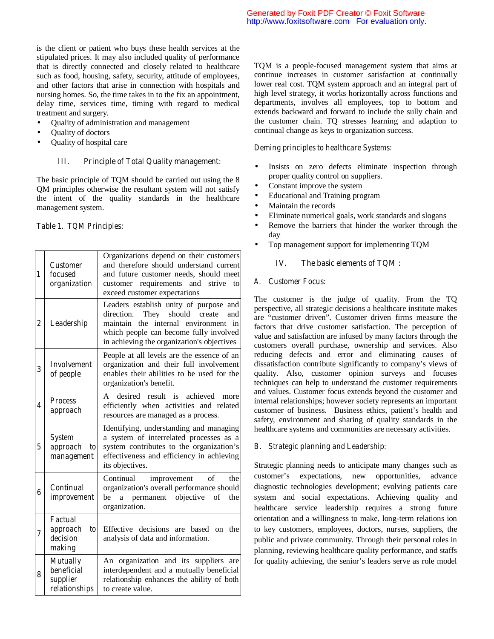is the client or patient who buys these health services at the stipulated prices. It may also included quality of performance that is directly connected and closely related to healthcare such as food, housing, safety, security, attitude of employees, and other factors that arise in connection with hospitals and nursing homes. So, the time takes in to the fix an appointment, delay time, services time, timing with regard to medical treatment and surgery.

- Quality of administration and management
- Quality of doctors
- Quality of hospital care

## **III. Principle of Total Quality management:**

The basic principle of TQM should be carried out using the 8 QM principles otherwise the resultant system will not satisfy the intent of the quality standards in the healthcare management system.

# *Table 1. TQM Principles:*

| 1                       | <b>Customer</b><br>focused<br>organization                  | Organizations depend on their customers<br>and therefore should understand current<br>and future customer needs, should meet<br>customer requirements and<br>strive<br>to<br>exceed customer expectations                     |
|-------------------------|-------------------------------------------------------------|-------------------------------------------------------------------------------------------------------------------------------------------------------------------------------------------------------------------------------|
| $\overline{\mathbf{c}}$ | Leadership                                                  | Leaders establish unity of purpose and<br>should<br>They<br>create<br>and<br>direction.<br>the internal environment<br>maintain<br>in<br>which people can become fully involved<br>in achieving the organization's objectives |
| 3                       | <b>Involvement</b><br>of people                             | People at all levels are the essence of an<br>organization and their full involvement<br>enables their abilities to be used for the<br>organization's benefit.                                                                |
| 4                       | <b>Process</b><br>approach                                  | desired<br>result<br>is<br>achieved<br>more<br>A<br>efficiently when activities and related<br>resources are managed as a process.                                                                                            |
| 5                       | <b>System</b><br>approach<br>to                             | Identifying, understanding and managing<br>a system of interrelated processes as a<br>system contributes to the organization's<br>effectiveness and efficiency in achieving                                                   |
|                         | management                                                  | its objectives.                                                                                                                                                                                                               |
| 6                       | Continual<br>improvement                                    | of<br>improvement<br>the<br>Continual<br>organization's overall performance should<br>permanent objective<br>of<br>be<br>a<br>the<br>organization.                                                                            |
| 7                       | Factual<br>approach<br>t <sub>o</sub><br>decision<br>making | Effective decisions are based<br>the<br><sub>on</sub><br>analysis of data and information.                                                                                                                                    |

TQM is a people-focused management system that aims at continue increases in customer satisfaction at continually lower real cost. TQM system approach and an integral part of high level strategy, it works horizontally across functions and departments, involves all employees, top to bottom and extends backward and forward to include the sully chain and the customer chain. TQ stresses learning and adaption to continual change as keys to organization success.

#### *Deming principles to healthcare Systems:*

- Insists on zero defects eliminate inspection through proper quality control on suppliers.
- Constant improve the system
- Educational and Training program
- Maintain the records
- Eliminate numerical goals, work standards and slogans
- Remove the barriers that hinder the worker through the day
- Top management support for implementing TQM

## **IV. The basic elements of TQM :**

#### *A. Customer Focus:*

The customer is the judge of quality. From the TQ perspective, all strategic decisions a healthcare institute makes are "customer driven". Customer driven firms measure the factors that drive customer satisfaction. The perception of value and satisfaction are infused by many factors through the customers overall purchase, ownership and services. Also reducing defects and error and eliminating causes of dissatisfaction contribute significantly to company's views of quality. Also, customer opinion surveys and focuses techniques can help to understand the customer requirements and values. Customer focus extends beyond the customer and internal relationships; however society represents an important customer of business. Business ethics, patient's health and safety, environment and sharing of quality standards in the healthcare systems and communities are necessary activities.

#### *B. Strategic planning and Leadership:*

Strategic planning needs to anticipate many changes such as customer's expectations, new opportunities, advance diagnostic technologies development; evolving patients care system and social expectations. Achieving quality and healthcare service leadership requires a strong future orientation and a willingness to make, long-term relations ion to key customers, employees, doctors, nurses, suppliers, the public and private community. Through their personal roles in planning, reviewing healthcare quality performance, and staffs for quality achieving, the senior's leaders serve as role model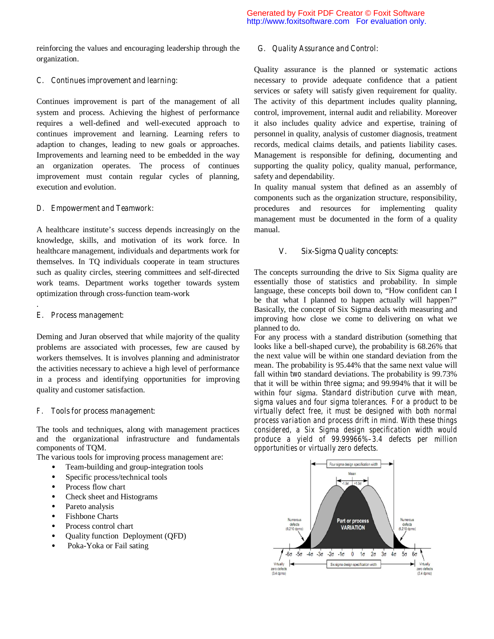reinforcing the values and encouraging leadership through the organization.

## *C. Continues improvement and learning:*

Continues improvement is part of the management of all system and process. Achieving the highest of performance requires a well-defined and well-executed approach to continues improvement and learning. Learning refers to adaption to changes, leading to new goals or approaches. Improvements and learning need to be embedded in the way an organization operates. The process of continues improvement must contain regular cycles of planning, execution and evolution.

#### *D. Empowerment and Teamwork:*

A healthcare institute's success depends increasingly on the knowledge, skills, and motivation of its work force. In healthcare management, individuals and departments work for themselves. In TQ individuals cooperate in team structures such as quality circles, steering committees and self-directed work teams. Department works together towards system optimization through cross-function team-work

## *E. Process management:*

.

Deming and Juran observed that while majority of the quality problems are associated with processes, few are caused by workers themselves. It is involves planning and administrator the activities necessary to achieve a high level of performance in a process and identifying opportunities for improving quality and customer satisfaction.

## *F. Tools for process management:*

The tools and techniques, along with management practices and the organizational infrastructure and fundamentals components of TQM.

The various tools for improving process management are**:** 

- Team-building and group-integration tools
- Specific process/technical tools
- Process flow chart
- Check sheet and Histograms
- Pareto analysis
- Fishbone Charts
- Process control chart
- Quality function Deployment (QFD)
- Poka-Yoka or Fail sating

#### *G. Quality Assurance and Control:*

Quality assurance is the planned or systematic actions necessary to provide adequate confidence that a patient services or safety will satisfy given requirement for quality. The activity of this department includes quality planning, control, improvement, internal audit and reliability. Moreover it also includes quality advice and expertise, training of personnel in quality, analysis of customer diagnosis, treatment records, medical claims details, and patients liability cases. Management is responsible for defining, documenting and supporting the quality policy, quality manual, performance, safety and dependability.

In quality manual system that defined as an assembly of components such as the organization structure, responsibility, procedures and resources for implementing quality management must be documented in the form of a quality manual.

#### **V. Six-Sigma Quality concepts:**

The concepts surrounding the drive to Six Sigma quality are essentially those of statistics and probability. In simple language, these concepts boil down to, "How confident can I be that what I planned to happen actually will happen?" Basically, the concept of Six Sigma deals with measuring and improving how close we come to delivering on what we planned to do.

For any process with a standard distribution (something that looks like a bell-shaped curve), the probability is 68.26% that the next value will be within one standard deviation from the mean. The probability is 95.44% that the same next value will fall within *two* standard deviations. The probability is 99.73% that it will be within *three* sigma; and 99.994% that it will be within *four* sigma. *Standard distribution curve with mean, sigma values and four sigma tolerances. For a product to be virtually defect free, it must be designed with both normal process variation and process drift in mind. With these things considered, a Six Sigma design specification width would produce a yield of 99.99966%–3.4 defects per million opportunities or virtually zero defects.*